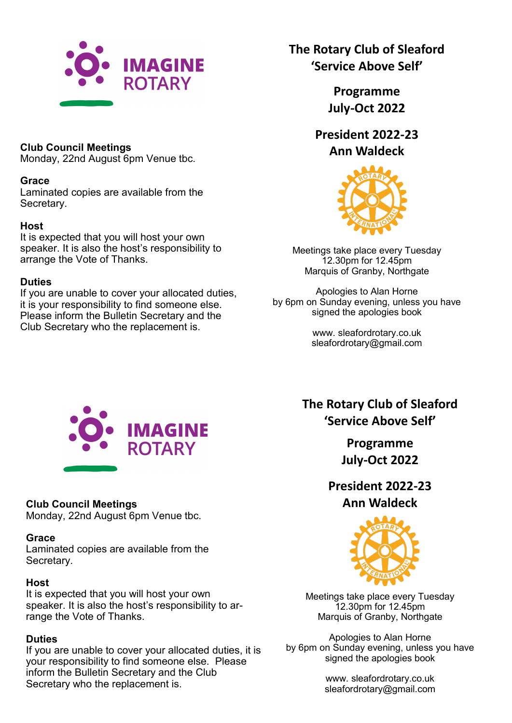

## **Club Council Meetings**

Monday, 22nd August 6pm Venue tbc.

### **Grace**

Laminated copies are available from the Secretary.

### **Host**

It is expected that you will host your own speaker. It is also the host's responsibility to arrange the Vote of Thanks.

### **Duties**

If you are unable to cover your allocated duties, it is your responsibility to find someone else. Please inform the Bulletin Secretary and the Club Secretary who the replacement is.

## **The Rotary Club of Sleaford 'Service Above Self'**

**Programme July-Oct 2022**

# **President 2022-23 Ann Waldeck**



Meetings take place every Tuesday 12.30pm for 12.45pm Marquis of Granby, Northgate

Apologies to Alan Horne by 6pm on Sunday evening, unless you have signed the apologies book

> www. sleafordrotary.co.uk sleafordrotary@gmail.com



## **Club Council Meetings**

Monday, 22nd August 6pm Venue tbc.

### **Grace**

Laminated copies are available from the Secretary.

### **Host**

It is expected that you will host your own speaker. It is also the host's responsibility to arrange the Vote of Thanks.

## **Duties**

If you are unable to cover your allocated duties, it is your responsibility to find someone else. Please inform the Bulletin Secretary and the Club Secretary who the replacement is.

**The Rotary Club of Sleaford 'Service Above Self'** 

> **Programme July-Oct 2022**

**President 2022-23 Ann Waldeck**



Meetings take place every Tuesday 12.30pm for 12.45pm Marquis of Granby, Northgate

Apologies to Alan Horne by 6pm on Sunday evening, unless you have signed the apologies book

> www. sleafordrotary.co.uk sleafordrotary@gmail.com